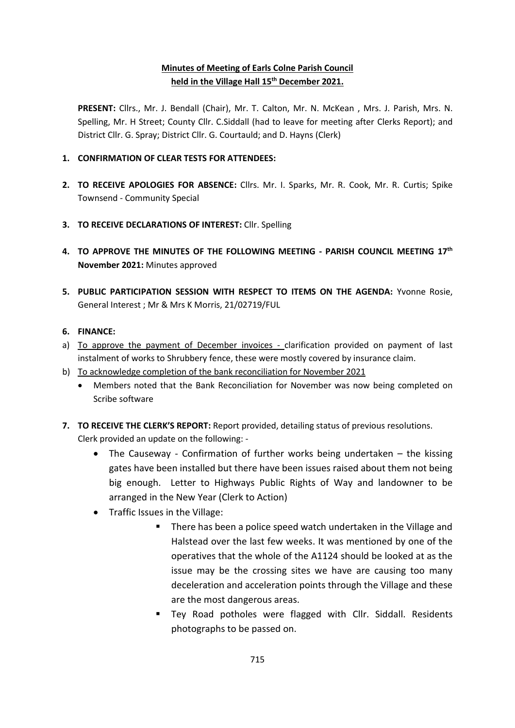# **Minutes of Meeting of Earls Colne Parish Council held in the Village Hall 15 th December 2021.**

**PRESENT:** Cllrs., Mr. J. Bendall (Chair), Mr. T. Calton, Mr. N. McKean , Mrs. J. Parish, Mrs. N. Spelling, Mr. H Street; County Cllr. C.Siddall (had to leave for meeting after Clerks Report); and District Cllr. G. Spray; District Cllr. G. Courtauld; and D. Hayns (Clerk)

- **1. CONFIRMATION OF CLEAR TESTS FOR ATTENDEES:**
- **2. TO RECEIVE APOLOGIES FOR ABSENCE:** Cllrs. Mr. I. Sparks, Mr. R. Cook, Mr. R. Curtis; Spike Townsend - Community Special
- **3. TO RECEIVE DECLARATIONS OF INTEREST:** Cllr. Spelling
- **4. TO APPROVE THE MINUTES OF THE FOLLOWING MEETING - PARISH COUNCIL MEETING 17th November 2021:** Minutes approved
- **5. PUBLIC PARTICIPATION SESSION WITH RESPECT TO ITEMS ON THE AGENDA:** Yvonne Rosie, General Interest ; Mr & Mrs K Morris, 21/02719/FUL

## **6. FINANCE:**

- a) To approve the payment of December invoices clarification provided on payment of last instalment of works to Shrubbery fence, these were mostly covered by insurance claim.
- b) To acknowledge completion of the bank reconciliation for November 2021
	- Members noted that the Bank Reconciliation for November was now being completed on Scribe software
- **7. TO RECEIVE THE CLERK'S REPORT:** Report provided, detailing status of previous resolutions.
	- Clerk provided an update on the following:
		- The Causeway Confirmation of further works being undertaken the kissing gates have been installed but there have been issues raised about them not being big enough. Letter to Highways Public Rights of Way and landowner to be arranged in the New Year (Clerk to Action)
		- Traffic Issues in the Village:
			- There has been a police speed watch undertaken in the Village and Halstead over the last few weeks. It was mentioned by one of the operatives that the whole of the A1124 should be looked at as the issue may be the crossing sites we have are causing too many deceleration and acceleration points through the Village and these are the most dangerous areas.
			- Tey Road potholes were flagged with Cllr. Siddall. Residents photographs to be passed on.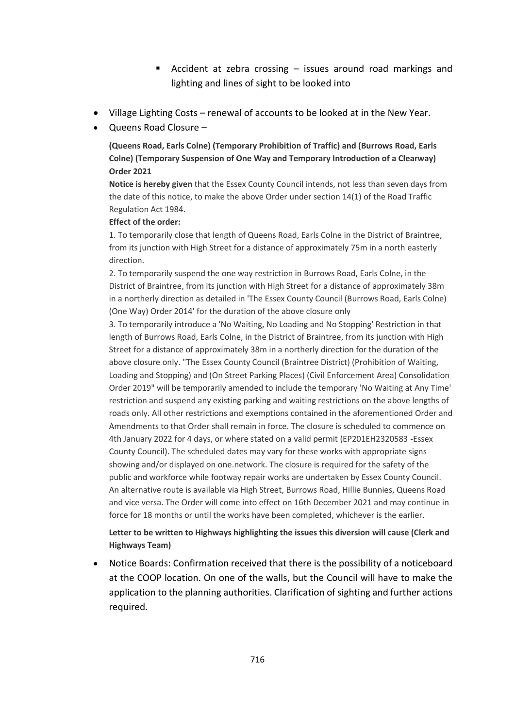- Accident at zebra crossing issues around road markings and lighting and lines of sight to be looked into
- Village Lighting Costs renewal of accounts to be looked at in the New Year.
- Queens Road Closure –

**(Queens Road, Earls Colne) (Temporary Prohibition of Traffic) and (Burrows Road, Earls Colne) (Temporary Suspension of One Way and Temporary Introduction of a Clearway) Order 2021**

**Notice is hereby given** that the Essex County Council intends, not less than seven days from the date of this notice, to make the above Order under section 14(1) of the Road Traffic Regulation Act 1984.

#### **Effect of the order:**

1. To temporarily close that length of Queens Road, Earls Colne in the District of Braintree, from its junction with High Street for a distance of approximately 75m in a north easterly direction.

2. To temporarily suspend the one way restriction in Burrows Road, Earls Colne, in the District of Braintree, from its junction with High Street for a distance of approximately 38m in a northerly direction as detailed in 'The Essex County Council (Burrows Road, Earls Colne) (One Way) Order 2014' for the duration of the above closure only

3. To temporarily introduce a 'No Waiting, No Loading and No Stopping' Restriction in that length of Burrows Road, Earls Colne, in the District of Braintree, from its junction with High Street for a distance of approximately 38m in a northerly direction for the duration of the above closure only. "The Essex County Council (Braintree District) (Prohibition of Waiting, Loading and Stopping) and (On Street Parking Places) (Civil Enforcement Area) Consolidation Order 2019" will be temporarily amended to include the temporary 'No Waiting at Any Time' restriction and suspend any existing parking and waiting restrictions on the above lengths of roads only. All other restrictions and exemptions contained in the aforementioned Order and Amendments to that Order shall remain in force. The closure is scheduled to commence on 4th January 2022 for 4 days, or where stated on a valid permit (EP201EH2320583 -Essex County Council). The scheduled dates may vary for these works with appropriate signs showing and/or displayed on one.network. The closure is required for the safety of the public and workforce while footway repair works are undertaken by Essex County Council. An alternative route is available via High Street, Burrows Road, Hillie Bunnies, Queens Road and vice versa. The Order will come into effect on 16th December 2021 and may continue in force for 18 months or until the works have been completed, whichever is the earlier.

#### **Letter to be written to Highways highlighting the issues this diversion will cause (Clerk and Highways Team)**

• Notice Boards: Confirmation received that there is the possibility of a noticeboard at the COOP location. On one of the walls, but the Council will have to make the application to the planning authorities. Clarification of sighting and further actions required.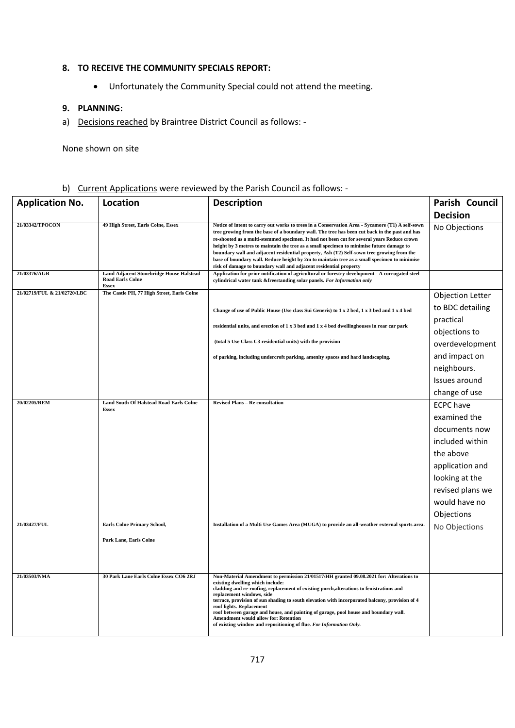#### **8. TO RECEIVE THE COMMUNITY SPECIALS REPORT:**

• Unfortunately the Community Special could not attend the meeting.

#### **9. PLANNING:**

a) Decisions reached by Braintree District Council as follows: -

None shown on site

# b) Current Applications were reviewed by the Parish Council as follows: -

| <b>Application No.</b>      | Location                                                                                   | <b>Description</b>                                                                                                                                                                                                                                                                                                                                                                                                                                                                                                                                                                                                                                          | Parish Council          |
|-----------------------------|--------------------------------------------------------------------------------------------|-------------------------------------------------------------------------------------------------------------------------------------------------------------------------------------------------------------------------------------------------------------------------------------------------------------------------------------------------------------------------------------------------------------------------------------------------------------------------------------------------------------------------------------------------------------------------------------------------------------------------------------------------------------|-------------------------|
|                             |                                                                                            |                                                                                                                                                                                                                                                                                                                                                                                                                                                                                                                                                                                                                                                             | <b>Decision</b>         |
| 21/03342/TPOCON             | 49 High Street, Earls Colne, Essex                                                         | Notice of intent to carry out works to trees in a Conservation Area - Sycamore (T1) A self-sown<br>tree growing from the base of a boundary wall. The tree has been cut back in the past and has<br>re-shooted as a multi-stemmed specimen. It had not been cut for several years Reduce crown<br>height by 3 metres to maintain the tree as a small specimen to minimise future damage to<br>boundary wall and adjacent residential property, Ash (T2) Self-sown tree growing from the<br>base of boundary wall. Reduce height by 2m to maintain tree as a small specimen to minimise<br>risk of damage to boundary wall and adjacent residential property | No Objections           |
| 21/03376/AGR                | <b>Land Adjacent Stonebridge House Halstead</b><br><b>Road Earls Colne</b><br><b>Essex</b> | Application for prior notification of agricultural or forestry development - A corrugated steel<br>cylindrical water tank &freestanding solar panels. For Information only                                                                                                                                                                                                                                                                                                                                                                                                                                                                                  |                         |
| 21/02719/FUL & 21/02720/LBC | The Castle PH, 77 High Street, Earls Colne                                                 |                                                                                                                                                                                                                                                                                                                                                                                                                                                                                                                                                                                                                                                             | <b>Objection Letter</b> |
|                             |                                                                                            | Change of use of Public House (Use class Sui Generis) to 1 x 2 bed, 1 x 3 bed and 1 x 4 bed                                                                                                                                                                                                                                                                                                                                                                                                                                                                                                                                                                 | to BDC detailing        |
|                             |                                                                                            | residential units, and erection of 1 x 3 bed and 1 x 4 bed dwellinghouses in rear car park                                                                                                                                                                                                                                                                                                                                                                                                                                                                                                                                                                  | practical               |
|                             |                                                                                            |                                                                                                                                                                                                                                                                                                                                                                                                                                                                                                                                                                                                                                                             | objections to           |
|                             |                                                                                            | (total 5 Use Class C3 residential units) with the provision                                                                                                                                                                                                                                                                                                                                                                                                                                                                                                                                                                                                 | overdevelopment         |
|                             |                                                                                            | of parking, including undercroft parking, amenity spaces and hard landscaping.                                                                                                                                                                                                                                                                                                                                                                                                                                                                                                                                                                              | and impact on           |
|                             |                                                                                            |                                                                                                                                                                                                                                                                                                                                                                                                                                                                                                                                                                                                                                                             | neighbours.             |
|                             |                                                                                            |                                                                                                                                                                                                                                                                                                                                                                                                                                                                                                                                                                                                                                                             | Issues around           |
|                             |                                                                                            |                                                                                                                                                                                                                                                                                                                                                                                                                                                                                                                                                                                                                                                             | change of use           |
| 20/02205/REM                | <b>Land South Of Halstead Road Earls Colne</b><br><b>Essex</b>                             | <b>Revised Plans - Re consultation</b>                                                                                                                                                                                                                                                                                                                                                                                                                                                                                                                                                                                                                      | <b>ECPC</b> have        |
|                             |                                                                                            |                                                                                                                                                                                                                                                                                                                                                                                                                                                                                                                                                                                                                                                             | examined the            |
|                             |                                                                                            |                                                                                                                                                                                                                                                                                                                                                                                                                                                                                                                                                                                                                                                             | documents now           |
|                             |                                                                                            |                                                                                                                                                                                                                                                                                                                                                                                                                                                                                                                                                                                                                                                             | included within         |
|                             |                                                                                            |                                                                                                                                                                                                                                                                                                                                                                                                                                                                                                                                                                                                                                                             | the above               |
|                             |                                                                                            |                                                                                                                                                                                                                                                                                                                                                                                                                                                                                                                                                                                                                                                             | application and         |
|                             |                                                                                            |                                                                                                                                                                                                                                                                                                                                                                                                                                                                                                                                                                                                                                                             | looking at the          |
|                             |                                                                                            |                                                                                                                                                                                                                                                                                                                                                                                                                                                                                                                                                                                                                                                             | revised plans we        |
|                             |                                                                                            |                                                                                                                                                                                                                                                                                                                                                                                                                                                                                                                                                                                                                                                             | would have no           |
|                             |                                                                                            |                                                                                                                                                                                                                                                                                                                                                                                                                                                                                                                                                                                                                                                             | Objections              |
| 21/03427/FUL                | <b>Earls Colne Primary School,</b>                                                         | Installation of a Multi Use Games Area (MUGA) to provide an all-weather external sports area.                                                                                                                                                                                                                                                                                                                                                                                                                                                                                                                                                               | No Objections           |
|                             | Park Lane, Earls Colne                                                                     |                                                                                                                                                                                                                                                                                                                                                                                                                                                                                                                                                                                                                                                             |                         |
|                             |                                                                                            |                                                                                                                                                                                                                                                                                                                                                                                                                                                                                                                                                                                                                                                             |                         |
|                             |                                                                                            |                                                                                                                                                                                                                                                                                                                                                                                                                                                                                                                                                                                                                                                             |                         |
| 21/03503/NMA                | 30 Park Lane Earls Colne Essex CO6 2RJ                                                     | Non-Material Amendment to permission 21/01517/HH granted 09.08.2021 for: Alterations to<br>existing dwelling which include:<br>cladding and re-roofing, replacement of existing porch, alterations to fenistrations and<br>replacement windows, side<br>terrace, provision of sun shading to south elevation with incorporated balcony, provision of 4<br>roof lights. Replacement<br>roof between garage and house, and painting of garage, pool house and boundary wall.<br>Amendment would allow for: Retention<br>of existing window and repositioning of flue. For Information Only.                                                                   |                         |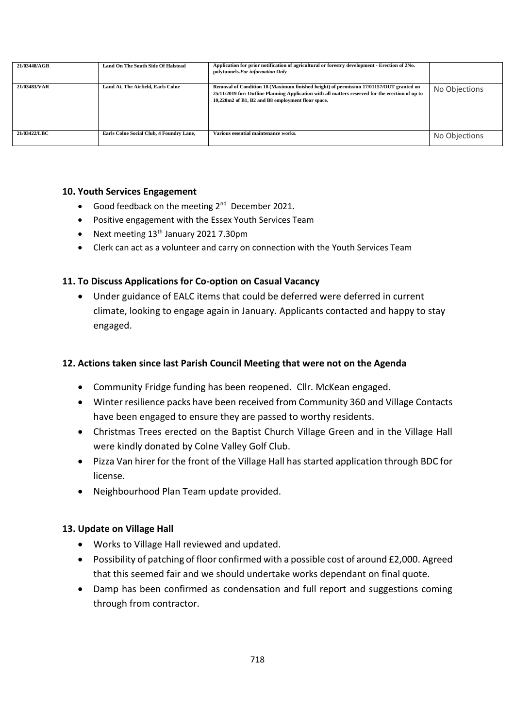| 21/03448/AGR | <b>Land On The South Side Of Halstead</b> | Application for prior notification of agricultural or forestry development - Erection of 2No.<br>polytunnels. For information Only                                                                                                               |               |
|--------------|-------------------------------------------|--------------------------------------------------------------------------------------------------------------------------------------------------------------------------------------------------------------------------------------------------|---------------|
| 21/03483/VAR | Land At, The Airfield, Earls Colne        | Removal of Condition 18 (Maximum finished height) of permission 17/01157/OUT granted on<br>25/11/2019 for: Outline Planning Application with all matters reserved for the erection of up to<br>10,220m2 of B1, B2 and B8 employment floor space. | No Objections |
| 21/03422/LBC | Earls Colne Social Club, 4 Foundry Lane,  | Various essential maintenance works.                                                                                                                                                                                                             | No Objections |

## **10. Youth Services Engagement**

- Good feedback on the meeting 2<sup>nd</sup> December 2021.
- Positive engagement with the Essex Youth Services Team
- Next meeting  $13<sup>th</sup>$  January 2021 7.30pm
- Clerk can act as a volunteer and carry on connection with the Youth Services Team

# **11. To Discuss Applications for Co-option on Casual Vacancy**

• Under guidance of EALC items that could be deferred were deferred in current climate, looking to engage again in January. Applicants contacted and happy to stay engaged.

## **12. Actions taken since last Parish Council Meeting that were not on the Agenda**

- Community Fridge funding has been reopened. Cllr. McKean engaged.
- Winter resilience packs have been received from Community 360 and Village Contacts have been engaged to ensure they are passed to worthy residents.
- Christmas Trees erected on the Baptist Church Village Green and in the Village Hall were kindly donated by Colne Valley Golf Club.
- Pizza Van hirer for the front of the Village Hall has started application through BDC for license.
- Neighbourhood Plan Team update provided.

#### **13. Update on Village Hall**

- Works to Village Hall reviewed and updated.
- Possibility of patching of floor confirmed with a possible cost of around £2,000. Agreed that this seemed fair and we should undertake works dependant on final quote.
- Damp has been confirmed as condensation and full report and suggestions coming through from contractor.